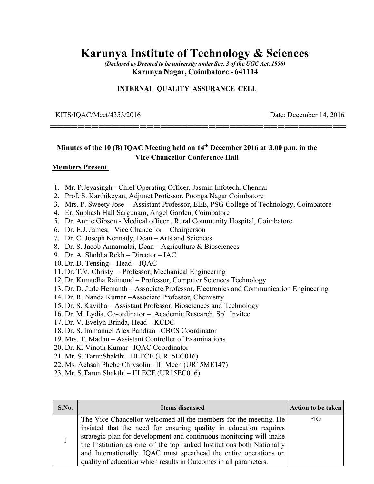## **Karunya Institute of Technology & Sciences**

*(Declared as Deemed to be university under Sec. 3 of the UGC Act, 1956)*  **Karunya Nagar, Coimbatore - 641114** 

**===========================================** 

### **INTERNAL QUALITY ASSURANCE CELL**

KITS/IQAC/Meet/4353/2016 Date: December 14, 2016

## **Minutes of the 10 (B) IQAC Meeting held on 14th December 2016 at 3.00 p.m. in the Vice Chancellor Conference Hall**

#### **Members Present**

- 1. Mr. P.Jeyasingh Chief Operating Officer, Jasmin Infotech, Chennai
- 2. Prof. S. Karthikeyan, Adjunct Professor, Poonga Nagar Coimbatore
- 3. Mrs. P. Sweety Jose Assistant Professor, EEE, PSG College of Technology, Coimbatore
- 4. Er. Subhash Hall Sargunam, Angel Garden, Coimbatore
- 5. Dr. Annie Gibson Medical officer , Rural Community Hospital, Coimbatore
- 6. Dr. E.J. James, Vice Chancellor Chairperson
- 7. Dr. C. Joseph Kennady, Dean Arts and Sciences
- 8. Dr. S. Jacob Annamalai, Dean Agriculture & Biosciences
- 9. Dr. A. Shobha Rekh Director IAC
- 10. Dr. D. Tensing Head IQAC
- 11. Dr. T.V. Christy Professor, Mechanical Engineering
- 12. Dr. Kumudha Raimond Professor, Computer Sciences Technology
- 13. Dr. D. Jude Hemanth Associate Professor, Electronics and Communication Engineering
- 14. Dr. R. Nanda Kumar –Associate Professor, Chemistry
- 15. Dr. S. Kavitha Assistant Professor, Biosciences and Technology
- 16. Dr. M. Lydia, Co-ordinator Academic Research, Spl. Invitee
- 17. Dr. V. Evelyn Brinda, Head KCDC
- 18. Dr. S. Immanuel Alex Pandian– CBCS Coordinator
- 19. Mrs. T. Madhu Assistant Controller of Examinations
- 20. Dr. K. Vinoth Kumar –IQAC Coordinator
- 21. Mr. S. TarunShakthi– III ECE (UR15EC016)
- 22. Ms. Achsah Phebe Chrysolin– III Mech (UR15ME147)
- 23. Mr. S.Tarun Shakthi III ECE (UR15EC016)

| S.No. | <b>Items discussed</b>                                                                                                                                                                                                                                                                                                                                                                                                         | <b>Action to be taken</b> |
|-------|--------------------------------------------------------------------------------------------------------------------------------------------------------------------------------------------------------------------------------------------------------------------------------------------------------------------------------------------------------------------------------------------------------------------------------|---------------------------|
|       | The Vice Chancellor welcomed all the members for the meeting. He<br>insisted that the need for ensuring quality in education requires<br>strategic plan for development and continuous monitoring will make<br>the Institution as one of the top ranked Institutions both Nationally<br>and Internationally. IQAC must spearhead the entire operations on<br>quality of education which results in Outcomes in all parameters. | <b>FIO</b>                |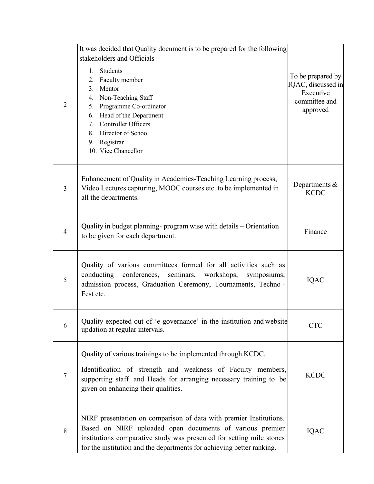|                | It was decided that Quality document is to be prepared for the following                                                                                                                                                                                                                        |                                                                                   |
|----------------|-------------------------------------------------------------------------------------------------------------------------------------------------------------------------------------------------------------------------------------------------------------------------------------------------|-----------------------------------------------------------------------------------|
| $\overline{2}$ | stakeholders and Officials<br>Students<br>$1_{-}$<br>Faculty member<br>2.<br>Mentor<br>3.<br>Non-Teaching Staff<br>4.<br>Programme Co-ordinator<br>5.<br>Head of the Department<br>6.<br><b>Controller Officers</b><br>7.<br>Director of School<br>8.<br>Registrar<br>9.<br>10. Vice Chancellor | To be prepared by<br>IQAC, discussed in<br>Executive<br>committee and<br>approved |
| $\overline{3}$ | Enhancement of Quality in Academics-Teaching Learning process,<br>Video Lectures capturing, MOOC courses etc. to be implemented in<br>all the departments.                                                                                                                                      | Departments $&$<br><b>KCDC</b>                                                    |
| 4              | Quality in budget planning- program wise with details – Orientation<br>to be given for each department.                                                                                                                                                                                         | Finance                                                                           |
| 5              | Quality of various committees formed for all activities such as<br>conducting conferences,<br>seminars, workshops,<br>symposiums,<br>admission process, Graduation Ceremony, Tournaments, Techno -<br>Fest etc.                                                                                 | <b>IQAC</b>                                                                       |
| 6              | Quality expected out of 'e-governance' in the institution and website<br>updation at regular intervals.                                                                                                                                                                                         | <b>CTC</b>                                                                        |
| 7              | Quality of various trainings to be implemented through KCDC.<br>Identification of strength and weakness of Faculty members,<br>supporting staff and Heads for arranging necessary training to be<br>given on enhancing their qualities.                                                         | <b>KCDC</b>                                                                       |
| 8              | NIRF presentation on comparison of data with premier Institutions.<br>Based on NIRF uploaded open documents of various premier<br>institutions comparative study was presented for setting mile stones<br>for the institution and the departments for achieving better ranking.                 | <b>IQAC</b>                                                                       |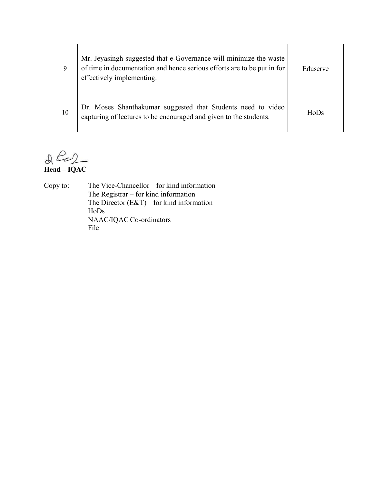| 9  | Mr. Jeyasingh suggested that e-Governance will minimize the waste<br>of time in documentation and hence serious efforts are to be put in for<br>effectively implementing. | Eduserve          |
|----|---------------------------------------------------------------------------------------------------------------------------------------------------------------------------|-------------------|
| 10 | Dr. Moses Shanthakumar suggested that Students need to video<br>capturing of lectures to be encouraged and given to the students.                                         | H <sub>o</sub> Ds |

**Head – IQAC** 

Copy to: The Vice-Chancellor – for kind information The Registrar – for kind information The Director  $(E&T)$  – for kind information HoDs NAAC/IQAC Co-ordinators File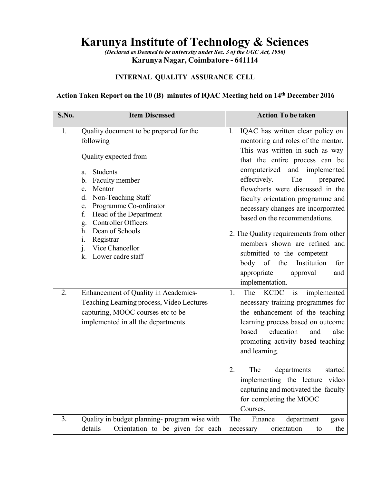# **Karunya Institute of Technology & Sciences**

*(Declared as Deemed to be university under Sec. 3 of the UGC Act, 1956)*  **Karunya Nagar, Coimbatore - 641114** 

## **INTERNAL QUALITY ASSURANCE CELL**

## **Action Taken Report on the 10 (B) minutes of IQAC Meeting held on 14th December 2016**

| S.No. | <b>Item Discussed</b>                                                                                                                                                                                                                                                                                                                                                                      | <b>Action To be taken</b>                                                                                                                                                                                                                                                                                                                                                                                                                                                                                                                                  |
|-------|--------------------------------------------------------------------------------------------------------------------------------------------------------------------------------------------------------------------------------------------------------------------------------------------------------------------------------------------------------------------------------------------|------------------------------------------------------------------------------------------------------------------------------------------------------------------------------------------------------------------------------------------------------------------------------------------------------------------------------------------------------------------------------------------------------------------------------------------------------------------------------------------------------------------------------------------------------------|
| 1.    | Quality document to be prepared for the<br>following<br>Quality expected from<br><b>Students</b><br>a.<br>Faculty member<br>b.<br>Mentor<br>c.<br>Non-Teaching Staff<br>d.<br>Programme Co-ordinator<br>e.<br>Head of the Department<br>f.<br><b>Controller Officers</b><br>g.<br>Dean of Schools<br>h.<br>Registrar<br>$\mathbf{i}$ .<br>j.<br>Vice Chancellor<br>Lower cadre staff<br>k. | IQAC has written clear policy on<br>1.<br>mentoring and roles of the mentor.<br>This was written in such as way<br>that the entire process can be<br>computerized<br>and<br>implemented<br>effectively.<br>The<br>prepared<br>flowcharts were discussed in the<br>faculty orientation programme and<br>necessary changes are incorporated<br>based on the recommendations.<br>2. The Quality requirements from other<br>members shown are refined and<br>submitted to the competent<br>Institution<br>body of the<br>for<br>appropriate<br>approval<br>and |
| 2.    | Enhancement of Quality in Academics-<br>Teaching Learning process, Video Lectures<br>capturing, MOOC courses etc to be<br>implemented in all the departments.                                                                                                                                                                                                                              | implementation.<br>is<br>1.<br><b>KCDC</b><br>The<br>implemented<br>necessary training programmes for<br>the enhancement of the teaching<br>learning process based on outcome<br>education<br>based<br>and<br>also<br>promoting activity based teaching<br>and learning.<br>2.<br>The<br>departments<br>started<br>implementing the lecture video<br>capturing and motivated the faculty<br>for completing the MOOC<br>Courses.                                                                                                                            |
| 3.    | Quality in budget planning- program wise with<br>details - Orientation to be given for each                                                                                                                                                                                                                                                                                                | department<br>Finance<br>The<br>gave<br>orientation<br>the<br>necessary<br>to                                                                                                                                                                                                                                                                                                                                                                                                                                                                              |